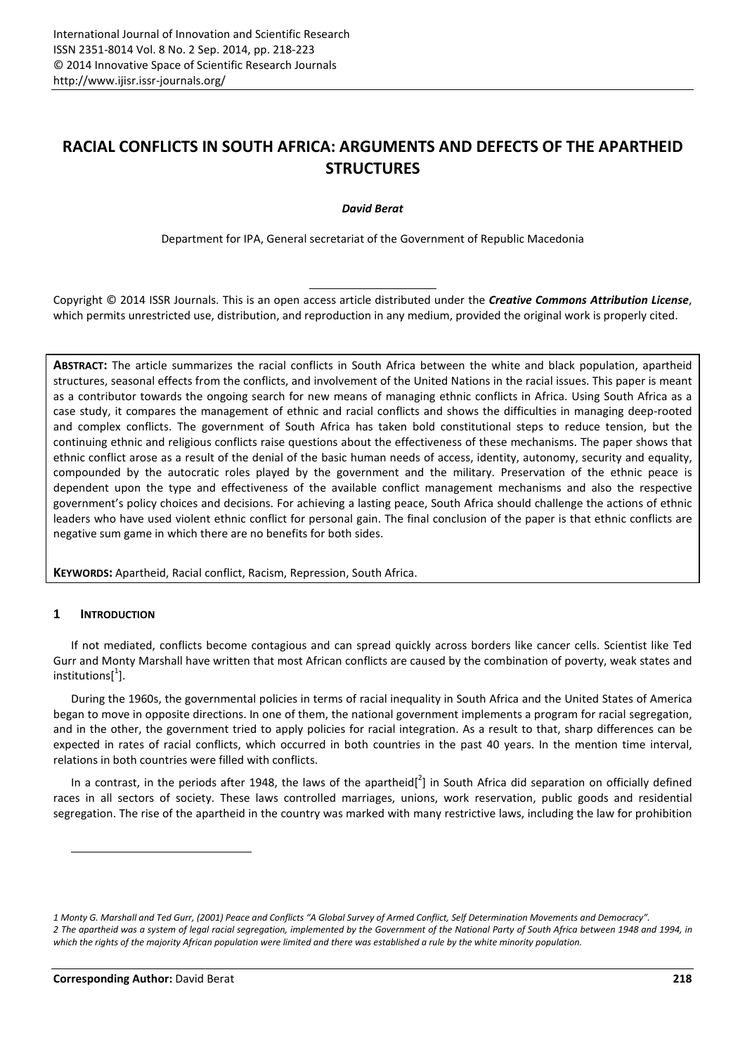# **RACIAL CONFLICTS IN SOUTH AFRICA: ARGUMENTS AND DEFECTS OF THE APARTHEID STRUCTURES**

*David Berat* 

Department for IPA, General secretariat of the Government of Republic Macedonia

Copyright © 2014 ISSR Journals. This is an open access article distributed under the *Creative Commons Attribution License*, which permits unrestricted use, distribution, and reproduction in any medium, provided the original work is properly cited.

**ABSTRACT:** The article summarizes the racial conflicts in South Africa between the white and black population, apartheid structures, seasonal effects from the conflicts, and involvement of the United Nations in the racial issues. This paper is meant as a contributor towards the ongoing search for new means of managing ethnic conflicts in Africa. Using South Africa as a case study, it compares the management of ethnic and racial conflicts and shows the difficulties in managing deep-rooted and complex conflicts. The government of South Africa has taken bold constitutional steps to reduce tension, but the continuing ethnic and religious conflicts raise questions about the effectiveness of these mechanisms. The paper shows that ethnic conflict arose as a result of the denial of the basic human needs of access, identity, autonomy, security and equality, compounded by the autocratic roles played by the government and the military. Preservation of the ethnic peace is dependent upon the type and effectiveness of the available conflict management mechanisms and also the respective government's policy choices and decisions. For achieving a lasting peace, South Africa should challenge the actions of ethnic leaders who have used violent ethnic conflict for personal gain. The final conclusion of the paper is that ethnic conflicts are negative sum game in which there are no benefits for both sides.

**KEYWORDS:** Apartheid, Racial conflict, Racism, Repression, South Africa.

## **1 INTRODUCTION**

 $\overline{a}$ 

If not mediated, conflicts become contagious and can spread quickly across borders like cancer cells. Scientist like Ted Gurr and Monty Marshall have written that most African conflicts are caused by the combination of poverty, weak states and institutions $[^1]$ .

During the 1960s, the governmental policies in terms of racial inequality in South Africa and the United States of America began to move in opposite directions. In one of them, the national government implements a program for racial segregation, and in the other, the government tried to apply policies for racial integration. As a result to that, sharp differences can be expected in rates of racial conflicts, which occurred in both countries in the past 40 years. In the mention time interval, relations in both countries were filled with conflicts.

In a contrast, in the periods after 1948, the laws of the apartheid[ $^2$ ] in South Africa did separation on officially defined races in all sectors of society. These laws controlled marriages, unions, work reservation, public goods and residential segregation. The rise of the apartheid in the country was marked with many restrictive laws, including the law for prohibition

*<sup>1</sup> Monty G. Marshall and Ted Gurr, (2001) Peace and Conflicts "A Global Survey of Armed Conflict, Self Determination Movements and Democracy".* 

*<sup>2</sup> The apartheid was a system of legal racial segregation, implemented by the Government of the National Party of South Africa between 1948 and 1994, in which the rights of the majority African population were limited and there was established a rule by the white minority population.*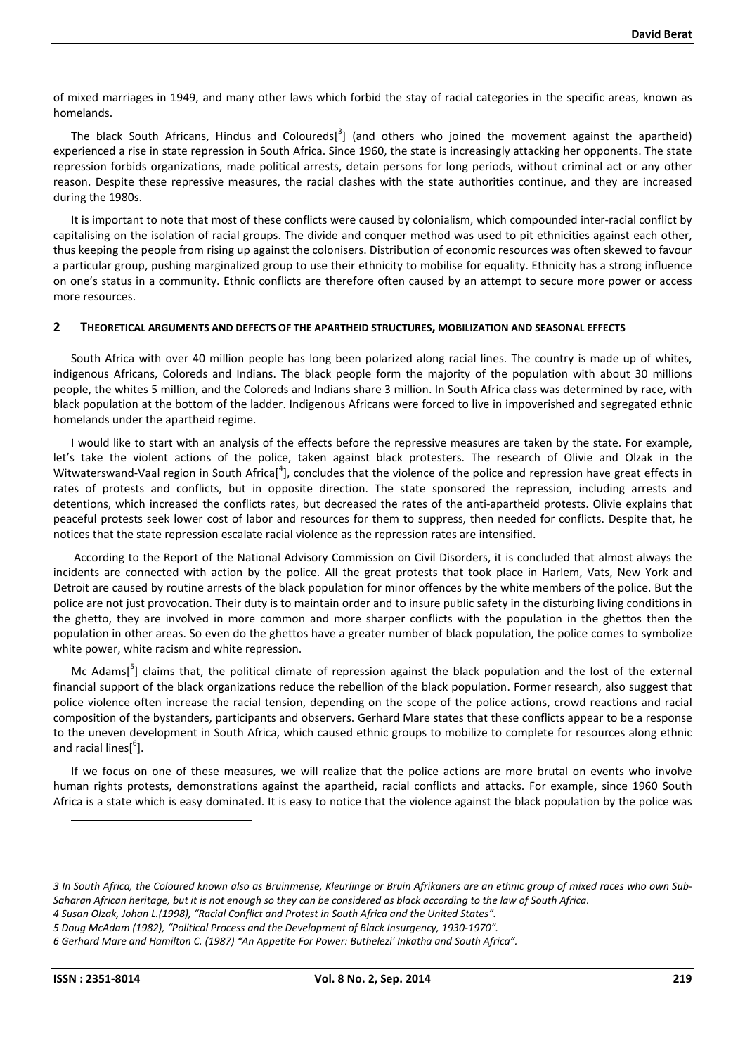of mixed marriages in 1949, and many other laws which forbid the stay of racial categories in the specific areas, known as homelands.

The black South Africans, Hindus and Coloureds<sup>[3</sup>] (and others who joined the movement against the apartheid) experienced a rise in state repression in South Africa. Since 1960, the state is increasingly attacking her opponents. The state repression forbids organizations, made political arrests, detain persons for long periods, without criminal act or any other reason. Despite these repressive measures, the racial clashes with the state authorities continue, and they are increased during the 1980s.

It is important to note that most of these conflicts were caused by colonialism, which compounded inter-racial conflict by capitalising on the isolation of racial groups. The divide and conquer method was used to pit ethnicities against each other, thus keeping the people from rising up against the colonisers. Distribution of economic resources was often skewed to favour a particular group, pushing marginalized group to use their ethnicity to mobilise for equality. Ethnicity has a strong influence on one's status in a community. Ethnic conflicts are therefore often caused by an attempt to secure more power or access more resources.

#### **2 THEORETICAL ARGUMENTS AND DEFECTS OF THE APARTHEID STRUCTURES, MOBILIZATION AND SEASONAL EFFECTS**

South Africa with over 40 million people has long been polarized along racial lines. The country is made up of whites, indigenous Africans, Coloreds and Indians. The black people form the majority of the population with about 30 millions people, the whites 5 million, and the Coloreds and Indians share 3 million. In South Africa class was determined by race, with black population at the bottom of the ladder. Indigenous Africans were forced to live in impoverished and segregated ethnic homelands under the apartheid regime.

I would like to start with an analysis of the effects before the repressive measures are taken by the state. For example, let's take the violent actions of the police, taken against black protesters. The research of Olivie and Olzak in the Witwaterswand-Vaal region in South Africa[<sup>4</sup>], concludes that the violence of the police and repression have great effects in rates of protests and conflicts, but in opposite direction. The state sponsored the repression, including arrests and detentions, which increased the conflicts rates, but decreased the rates of the anti-apartheid protests. Olivie explains that peaceful protests seek lower cost of labor and resources for them to suppress, then needed for conflicts. Despite that, he notices that the state repression escalate racial violence as the repression rates are intensified.

 According to the Report of the National Advisory Commission on Civil Disorders, it is concluded that almost always the incidents are connected with action by the police. All the great protests that took place in Harlem, Vats, New York and Detroit are caused by routine arrests of the black population for minor offences by the white members of the police. But the police are not just provocation. Their duty is to maintain order and to insure public safety in the disturbing living conditions in the ghetto, they are involved in more common and more sharper conflicts with the population in the ghettos then the population in other areas. So even do the ghettos have a greater number of black population, the police comes to symbolize white power, white racism and white repression.

Mc Adams[<sup>5</sup>] claims that, the political climate of repression against the black population and the lost of the external financial support of the black organizations reduce the rebellion of the black population. Former research, also suggest that police violence often increase the racial tension, depending on the scope of the police actions, crowd reactions and racial composition of the bystanders, participants and observers. Gerhard Mare states that these conflicts appear to be a response to the uneven development in South Africa, which caused ethnic groups to mobilize to complete for resources along ethnic and racial lines[<sup>6</sup>].

If we focus on one of these measures, we will realize that the police actions are more brutal on events who involve human rights protests, demonstrations against the apartheid, racial conflicts and attacks. For example, since 1960 South Africa is a state which is easy dominated. It is easy to notice that the violence against the black population by the police was

 $\overline{a}$ 

*<sup>3</sup> In South Africa, the Coloured known also as Bruinmense, Kleurlinge or Bruin Afrikaners are an ethnic group of mixed races who own Sub-Saharan African heritage, but it is not enough so they can be considered as black according to the law of South Africa.* 

*<sup>4</sup> Susan Olzak, Johan L.(1998), "Racial Conflict and Protest in South Africa and the United States".*

*<sup>5</sup> Doug McAdam (1982), "Political Process and the Development of Black Insurgency, 1930-1970".* 

*<sup>6</sup> Gerhard Mare and Hamilton C. (1987) "An Appetite For Power: Buthelezi' Inkatha and South Africa".*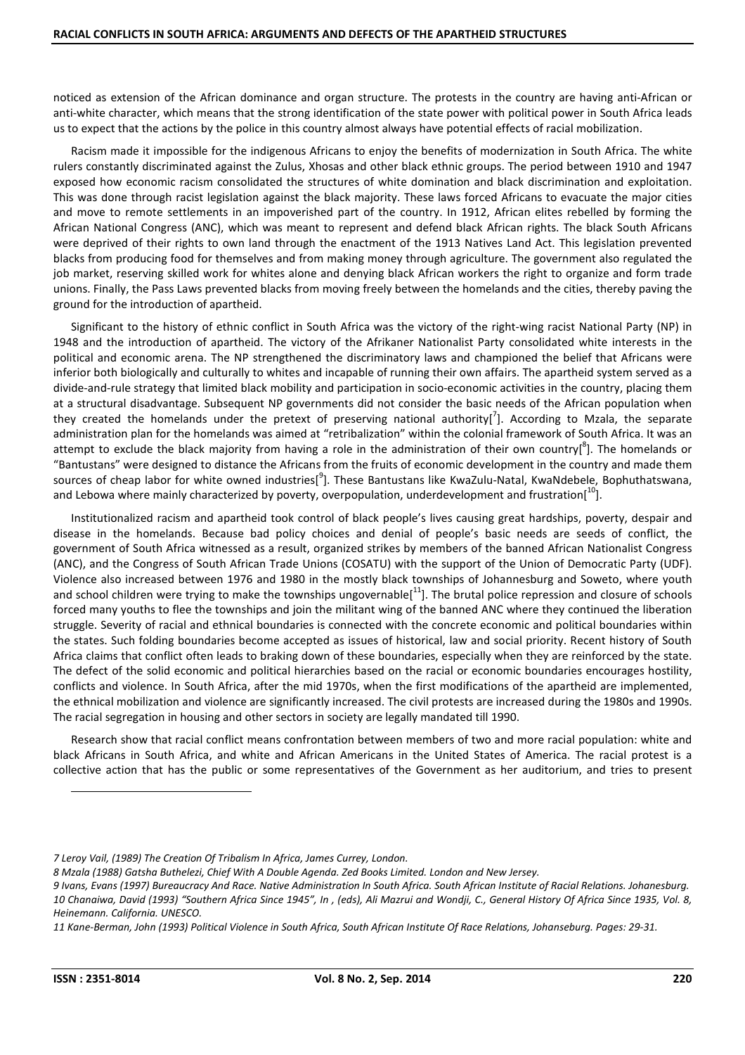noticed as extension of the African dominance and organ structure. The protests in the country are having anti-African or anti-white character, which means that the strong identification of the state power with political power in South Africa leads us to expect that the actions by the police in this country almost always have potential effects of racial mobilization.

Racism made it impossible for the indigenous Africans to enjoy the benefits of modernization in South Africa. The white rulers constantly discriminated against the Zulus, Xhosas and other black ethnic groups. The period between 1910 and 1947 exposed how economic racism consolidated the structures of white domination and black discrimination and exploitation. This was done through racist legislation against the black majority. These laws forced Africans to evacuate the major cities and move to remote settlements in an impoverished part of the country. In 1912, African elites rebelled by forming the African National Congress (ANC), which was meant to represent and defend black African rights. The black South Africans were deprived of their rights to own land through the enactment of the 1913 Natives Land Act. This legislation prevented blacks from producing food for themselves and from making money through agriculture. The government also regulated the job market, reserving skilled work for whites alone and denying black African workers the right to organize and form trade unions. Finally, the Pass Laws prevented blacks from moving freely between the homelands and the cities, thereby paving the ground for the introduction of apartheid.

Significant to the history of ethnic conflict in South Africa was the victory of the right-wing racist National Party (NP) in 1948 and the introduction of apartheid. The victory of the Afrikaner Nationalist Party consolidated white interests in the political and economic arena. The NP strengthened the discriminatory laws and championed the belief that Africans were inferior both biologically and culturally to whites and incapable of running their own affairs. The apartheid system served as a divide-and-rule strategy that limited black mobility and participation in socio-economic activities in the country, placing them at a structural disadvantage. Subsequent NP governments did not consider the basic needs of the African population when they created the homelands under the pretext of preserving national authority[ $^7$ ]. According to Mzala, the separate administration plan for the homelands was aimed at "retribalization" within the colonial framework of South Africa. It was an attempt to exclude the black majority from having a role in the administration of their own country[<sup>8</sup>]. The homelands or "Bantustans" were designed to distance the Africans from the fruits of economic development in the country and made them sources of cheap labor for white owned industries[<sup>9</sup>]. These Bantustans like KwaZulu-Natal, KwaNdebele, Bophuthatswana, and Lebowa where mainly characterized by poverty, overpopulation, underdevelopment and frustration $[10]$ .

Institutionalized racism and apartheid took control of black people's lives causing great hardships, poverty, despair and disease in the homelands. Because bad policy choices and denial of people's basic needs are seeds of conflict, the government of South Africa witnessed as a result, organized strikes by members of the banned African Nationalist Congress (ANC), and the Congress of South African Trade Unions (COSATU) with the support of the Union of Democratic Party (UDF). Violence also increased between 1976 and 1980 in the mostly black townships of Johannesburg and Soweto, where youth and school children were trying to make the townships ungovernable $[11]$ . The brutal police repression and closure of schools forced many youths to flee the townships and join the militant wing of the banned ANC where they continued the liberation struggle. Severity of racial and ethnical boundaries is connected with the concrete economic and political boundaries within the states. Such folding boundaries become accepted as issues of historical, law and social priority. Recent history of South Africa claims that conflict often leads to braking down of these boundaries, especially when they are reinforced by the state. The defect of the solid economic and political hierarchies based on the racial or economic boundaries encourages hostility, conflicts and violence. In South Africa, after the mid 1970s, when the first modifications of the apartheid are implemented, the ethnical mobilization and violence are significantly increased. The civil protests are increased during the 1980s and 1990s. The racial segregation in housing and other sectors in society are legally mandated till 1990.

Research show that racial conflict means confrontation between members of two and more racial population: white and black Africans in South Africa, and white and African Americans in the United States of America. The racial protest is a collective action that has the public or some representatives of the Government as her auditorium, and tries to present

l

*<sup>7</sup> Leroy Vail, (1989) The Creation Of Tribalism In Africa, James Currey, London.* 

*<sup>8</sup> Mzala (1988) Gatsha Buthelezi, Chief With A Double Agenda. Zed Books Limited. London and New Jersey.* 

*<sup>9</sup> Ivans, Evans (1997) Bureaucracy And Race. Native Administration In South Africa. South African Institute of Racial Relations. Johanesburg. 10 Chanaiwa, David (1993) "Southern Africa Since 1945", In , (eds), Ali Mazrui and Wondji, C., General History Of Africa Since 1935, Vol. 8, Heinemann. California. UNESCO.*

*<sup>11</sup> Kane-Berman, John (1993) Political Violence in South Africa, South African Institute Of Race Relations, Johanseburg. Pages: 29-31.*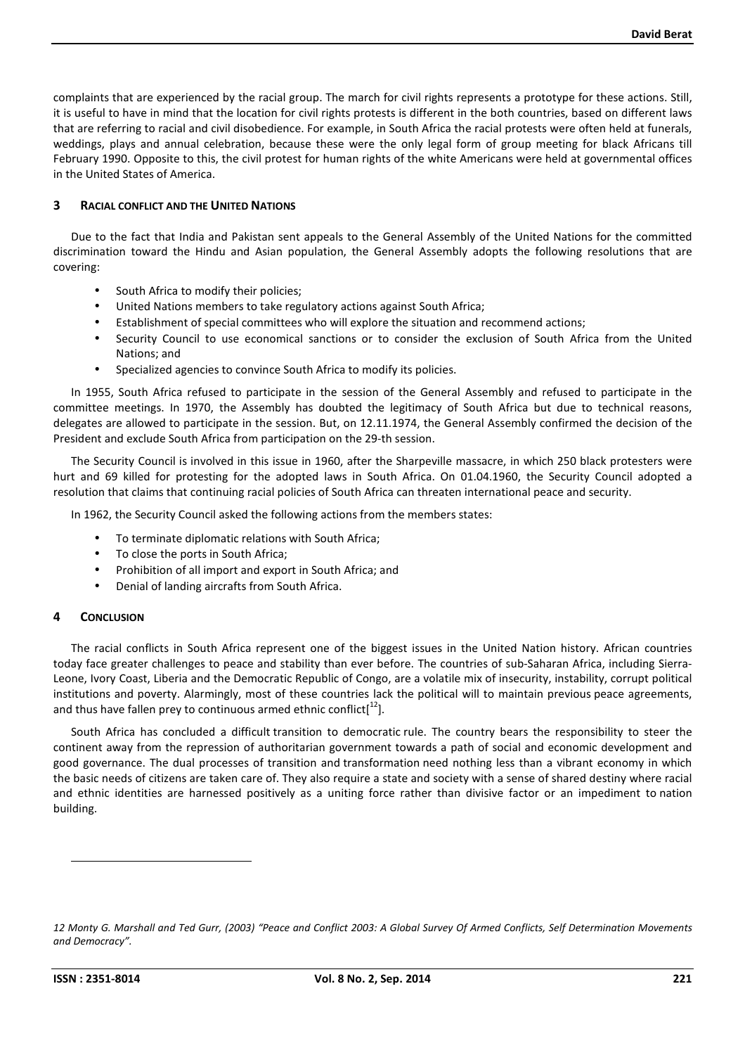complaints that are experienced by the racial group. The march for civil rights represents a prototype for these actions. Still, it is useful to have in mind that the location for civil rights protests is different in the both countries, based on different laws that are referring to racial and civil disobedience. For example, in South Africa the racial protests were often held at funerals, weddings, plays and annual celebration, because these were the only legal form of group meeting for black Africans till February 1990. Opposite to this, the civil protest for human rights of the white Americans were held at governmental offices in the United States of America.

#### **3 RACIAL CONFLICT AND THE UNITED NATIONS**

Due to the fact that India and Pakistan sent appeals to the General Assembly of the United Nations for the committed discrimination toward the Hindu and Asian population, the General Assembly adopts the following resolutions that are covering:

- South Africa to modify their policies;
- United Nations members to take regulatory actions against South Africa;
- Establishment of special committees who will explore the situation and recommend actions;
- Security Council to use economical sanctions or to consider the exclusion of South Africa from the United Nations; and
- Specialized agencies to convince South Africa to modify its policies.

In 1955, South Africa refused to participate in the session of the General Assembly and refused to participate in the committee meetings. In 1970, the Assembly has doubted the legitimacy of South Africa but due to technical reasons, delegates are allowed to participate in the session. But, on 12.11.1974, the General Assembly confirmed the decision of the President and exclude South Africa from participation on the 29-th session.

The Security Council is involved in this issue in 1960, after the Sharpeville massacre, in which 250 black protesters were hurt and 69 killed for protesting for the adopted laws in South Africa. On 01.04.1960, the Security Council adopted a resolution that claims that continuing racial policies of South Africa can threaten international peace and security.

In 1962, the Security Council asked the following actions from the members states:

- To terminate diplomatic relations with South Africa;
- To close the ports in South Africa;
- Prohibition of all import and export in South Africa; and
- Denial of landing aircrafts from South Africa.

#### **4 CONCLUSION**

The racial conflicts in South Africa represent one of the biggest issues in the United Nation history. African countries today face greater challenges to peace and stability than ever before. The countries of sub-Saharan Africa, including Sierra-Leone, Ivory Coast, Liberia and the Democratic Republic of Congo, are a volatile mix of insecurity, instability, corrupt political institutions and poverty. Alarmingly, most of these countries lack the political will to maintain previous peace agreements, and thus have fallen prey to continuous armed ethnic conflict<sup>[12</sup>].

South Africa has concluded a difficult transition to democratic rule. The country bears the responsibility to steer the continent away from the repression of authoritarian government towards a path of social and economic development and good governance. The dual processes of transition and transformation need nothing less than a vibrant economy in which the basic needs of citizens are taken care of. They also require a state and society with a sense of shared destiny where racial and ethnic identities are harnessed positively as a uniting force rather than divisive factor or an impediment to nation building.

l

*<sup>12</sup> Monty G. Marshall and Ted Gurr, (2003) "Peace and Conflict 2003: A Global Survey Of Armed Conflicts, Self Determination Movements and Democracy".*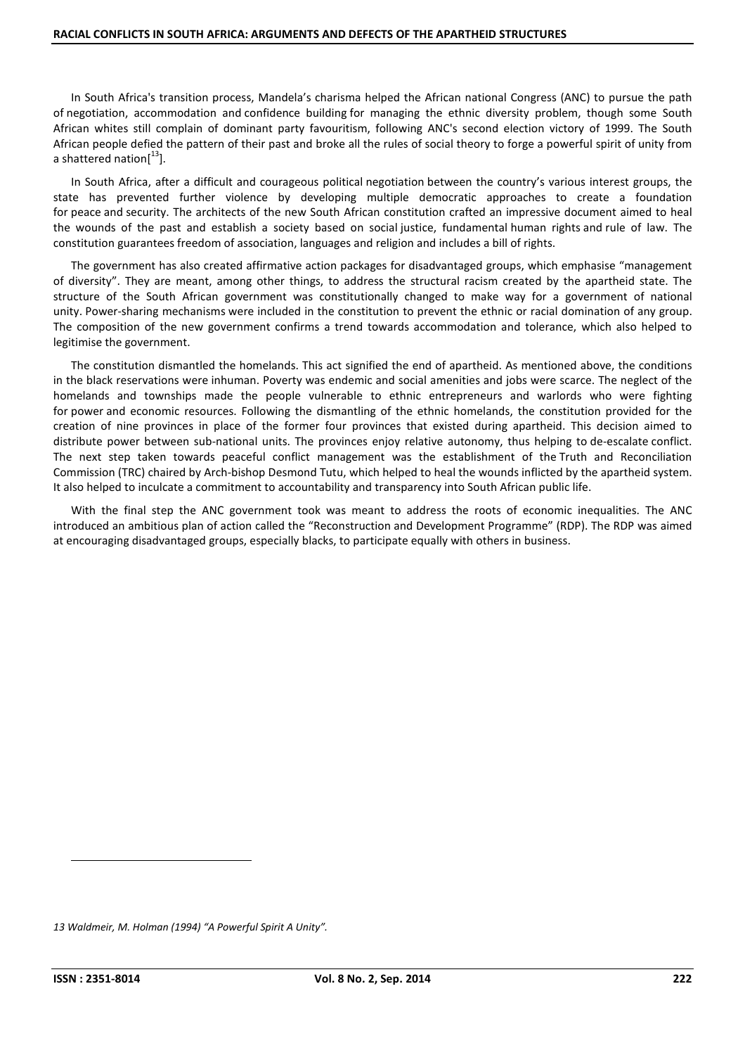In South Africa's transition process, Mandela's charisma helped the African national Congress (ANC) to pursue the path of negotiation, accommodation and confidence building for managing the ethnic diversity problem, though some South African whites still complain of dominant party favouritism, following ANC's second election victory of 1999. The South African people defied the pattern of their past and broke all the rules of social theory to forge a powerful spirit of unity from a shattered nation $[13]$ .

In South Africa, after a difficult and courageous political negotiation between the country's various interest groups, the state has prevented further violence by developing multiple democratic approaches to create a foundation for peace and security. The architects of the new South African constitution crafted an impressive document aimed to heal the wounds of the past and establish a society based on social justice, fundamental human rights and rule of law. The constitution guarantees freedom of association, languages and religion and includes a bill of rights.

The government has also created affirmative action packages for disadvantaged groups, which emphasise "management of diversity". They are meant, among other things, to address the structural racism created by the apartheid state. The structure of the South African government was constitutionally changed to make way for a government of national unity. Power-sharing mechanisms were included in the constitution to prevent the ethnic or racial domination of any group. The composition of the new government confirms a trend towards accommodation and tolerance, which also helped to legitimise the government.

The constitution dismantled the homelands. This act signified the end of apartheid. As mentioned above, the conditions in the black reservations were inhuman. Poverty was endemic and social amenities and jobs were scarce. The neglect of the homelands and townships made the people vulnerable to ethnic entrepreneurs and warlords who were fighting for power and economic resources. Following the dismantling of the ethnic homelands, the constitution provided for the creation of nine provinces in place of the former four provinces that existed during apartheid. This decision aimed to distribute power between sub-national units. The provinces enjoy relative autonomy, thus helping to de-escalate conflict. The next step taken towards peaceful conflict management was the establishment of the Truth and Reconciliation Commission (TRC) chaired by Arch-bishop Desmond Tutu, which helped to heal the wounds inflicted by the apartheid system. It also helped to inculcate a commitment to accountability and transparency into South African public life.

With the final step the ANC government took was meant to address the roots of economic inequalities. The ANC introduced an ambitious plan of action called the "Reconstruction and Development Programme" (RDP). The RDP was aimed at encouraging disadvantaged groups, especially blacks, to participate equally with others in business.

 $\overline{a}$ 

*<sup>13</sup> Waldmeir, M. Holman (1994) "A Powerful Spirit A Unity".*